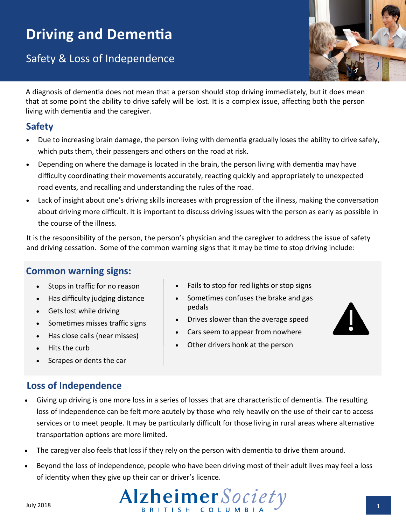# **Driving and Dementia**

Safety & Loss of Independence



A diagnosis of dementia does not mean that a person should stop driving immediately, but it does mean that at some point the ability to drive safely will be lost. It is a complex issue, affecting both the person living with dementia and the caregiver.

# **Safety**

- Due to increasing brain damage, the person living with dementia gradually loses the ability to drive safely, which puts them, their passengers and others on the road at risk.
- Depending on where the damage is located in the brain, the person living with dementia may have difficulty coordinating their movements accurately, reacting quickly and appropriately to unexpected road events, and recalling and understanding the rules of the road.
- Lack of insight about one's driving skills increases with progression of the illness, making the conversation about driving more difficult. It is important to discuss driving issues with the person as early as possible in the course of the illness.

It is the responsibility of the person, the person's physician and the caregiver to address the issue of safety and driving cessation. Some of the common warning signs that it may be time to stop driving include:

pedals

# **Common warning signs:**

- Stops in traffic for no reason
- Has difficulty judging distance
- Gets lost while driving
- Sometimes misses traffic signs
- Has close calls (near misses)
- Hits the curb
- Scrapes or dents the car

# **Loss of Independence**

Other drivers honk at the person

 Fails to stop for red lights or stop signs Sometimes confuses the brake and gas

 Drives slower than the average speed Cars seem to appear from nowhere

- Giving up driving is one more loss in a series of losses that are characteristic of dementia. The resulting loss of independence can be felt more acutely by those who rely heavily on the use of their car to access services or to meet people. It may be particularly difficult for those living in rural areas where alternative transportation options are more limited.
- The caregiver also feels that loss if they rely on the person with dementia to drive them around.
- Beyond the loss of independence, people who have been driving most of their adult lives may feel a loss of identity when they give up their car or driver's licence.

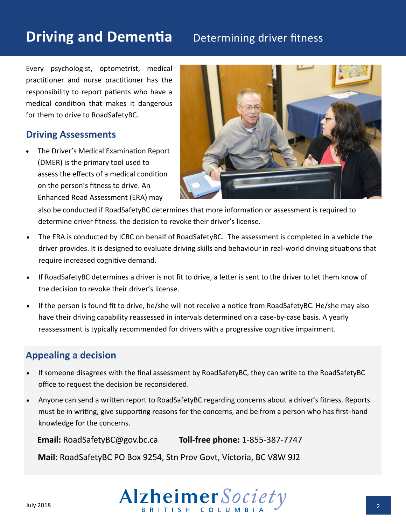# **Driving and Dementia** Determining driver fitness

Every psychologist, optometrist, medical practitioner and nurse practitioner has the responsibility to report patients who have a medical condition that makes it dangerous for them to drive to RoadSafetyBC.

#### **Driving Assessments**

 The Driver's Medical Examination Report (DMER) is the primary tool used to assess the effects of a medical condition on the person's fitness to drive. An Enhanced Road Assessment (ERA) may



also be conducted if RoadSafetyBC determines that more information or assessment is required to determine driver fitness. the decision to revoke their driver's license.

- The ERA is conducted by ICBC on behalf of RoadSafetyBC. The assessment is completed in a vehicle the driver provides. It is designed to evaluate driving skills and behaviour in real-world driving situations that require increased cognitive demand.
- If RoadSafetyBC determines a driver is not fit to drive, a letter is sent to the driver to let them know of the decision to revoke their driver's license.
- If the person is found fit to drive, he/she will not receive a notice from RoadSafetyBC. He/she may also have their driving capability reassessed in intervals determined on a case-by-case basis. A yearly reassessment is typically recommended for drivers with a progressive cognitive impairment.

#### **Appealing a decision**

- If someone disagrees with the final assessment by RoadSafetyBC, they can write to the RoadSafetyBC office to request the decision be reconsidered.
- Anyone can send a written report to RoadSafetyBC regarding concerns about a driver's fitness. Reports must be in writing, give supporting reasons for the concerns, and be from a person who has first-hand knowledge for the concerns.

 **Email:** [RoadSafetyBC@gov.bc.ca](mailto:RoadSafetyBC@gov.bc.ca) **Toll-free phone:** 1-855-387-7747 **Mail:** RoadSafetyBC PO Box 9254, Stn Prov Govt, Victoria, BC V8W 9J2

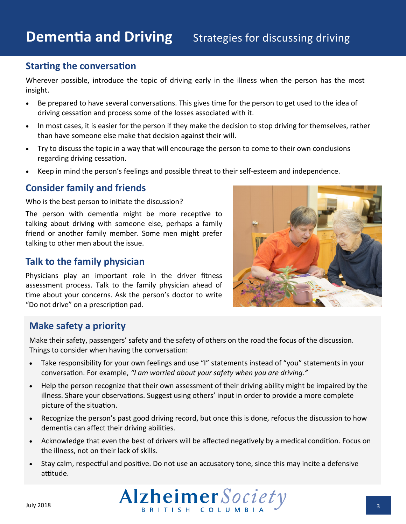### **Starting the conversation**

Wherever possible, introduce the topic of driving early in the illness when the person has the most insight.

- Be prepared to have several conversations. This gives time for the person to get used to the idea of driving cessation and process some of the losses associated with it.
- In most cases, it is easier for the person if they make the decision to stop driving for themselves, rather than have someone else make that decision against their will.
- Try to discuss the topic in a way that will encourage the person to come to their own conclusions regarding driving cessation.
- Keep in mind the person's feelings and possible threat to their self-esteem and independence.

#### **Consider family and friends**

Who is the best person to initiate the discussion?

The person with dementia might be more receptive to talking about driving with someone else, perhaps a family friend or another family member. Some men might prefer talking to other men about the issue.

### **Talk to the family physician**

Physicians play an important role in the driver fitness assessment process. Talk to the family physician ahead of time about your concerns. Ask the person's doctor to write "Do not drive" on a prescription pad.



# **Make safety a priority**

Make their safety, passengers' safety and the safety of others on the road the focus of the discussion. Things to consider when having the conversation:

- Take responsibility for your own feelings and use "I" statements instead of "you" statements in your conversation. For example, *"I am worried about your safety when you are driving."*
- Help the person recognize that their own assessment of their driving ability might be impaired by the illness. Share your observations. Suggest using others' input in order to provide a more complete picture of the situation.
- Recognize the person's past good driving record, but once this is done, refocus the discussion to how dementia can affect their driving abilities.
- Acknowledge that even the best of drivers will be affected negatively by a medical condition. Focus on the illness, not on their lack of skills.
- Stay calm, respectful and positive. Do not use an accusatory tone, since this may incite a defensive attitude.